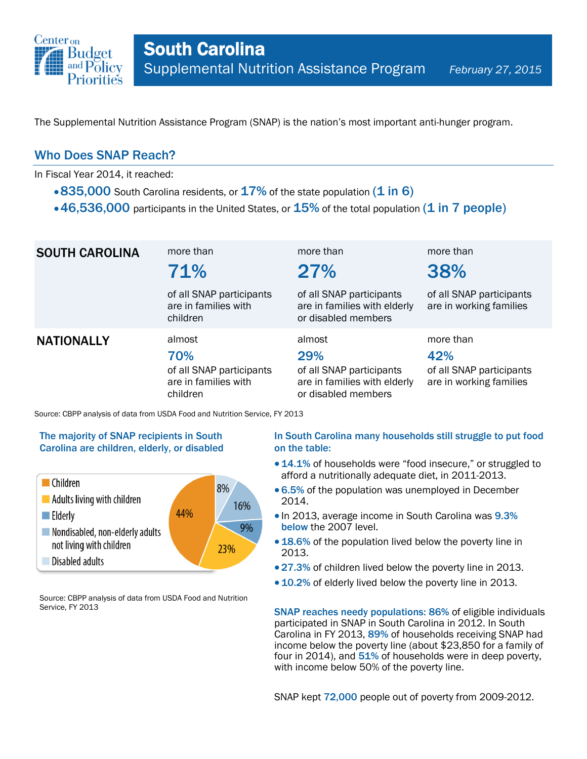

The Supplemental Nutrition Assistance Program (SNAP) is the nation's most important anti-hunger program.

## Who Does SNAP Reach?

In Fiscal Year 2014, it reached:

- $\cdot$  835,000 South Carolina residents, or  $17\%$  of the state population (1 in 6)
- $\cdot$  46,536,000 participants in the United States, or  $15\%$  of the total population (1 in 7 people)

| <b>SOUTH CAROLINA</b> | more than<br>71%<br>of all SNAP participants<br>are in families with<br>children | more than<br>27%<br>of all SNAP participants<br>are in families with elderly<br>or disabled members | more than<br>38%<br>of all SNAP participants<br>are in working families |
|-----------------------|----------------------------------------------------------------------------------|-----------------------------------------------------------------------------------------------------|-------------------------------------------------------------------------|
| <b>NATIONALLY</b>     | almost<br>70%<br>of all SNAP participants<br>are in families with<br>children    | almost<br>29%<br>of all SNAP participants<br>are in families with elderly<br>or disabled members    | more than<br>42%<br>of all SNAP participants<br>are in working families |

Source: CBPP analysis of data from USDA Food and Nutrition Service, FY 2013

### The majority of SNAP recipients in South Carolina are children, elderly, or disabled



Source: CBPP analysis of data from USDA Food and Nutrition Service, FY 2013

### In South Carolina many households still struggle to put food on the table:

- 14.1% of households were "food insecure," or struggled to afford a nutritionally adequate diet, in 2011-2013.
- 6.5% of the population was unemployed in December 2014.
- In 2013, average income in South Carolina was 9.3% below the 2007 level.
- 18.6% of the population lived below the poverty line in 2013.
- 27.3% of children lived below the poverty line in 2013.
- 10.2% of elderly lived below the poverty line in 2013.

SNAP reaches needy populations: 86% of eligible individuals participated in SNAP in South Carolina in 2012. In South Carolina in FY 2013, 89% of households receiving SNAP had income below the poverty line (about \$23,850 for a family of four in 2014), and  $51\%$  of households were in deep poverty, with income below 50% of the poverty line.

SNAP kept 72,000 people out of poverty from 2009-2012.